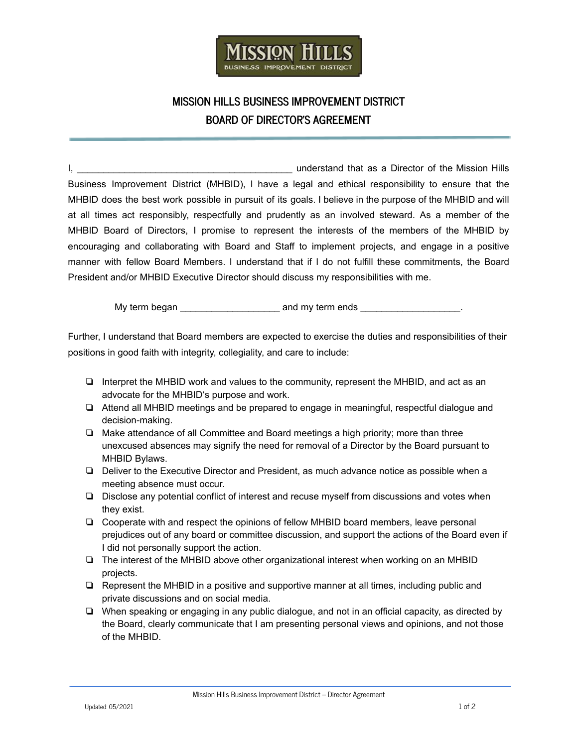

## **MISSION HILLS BUSINESS IMPROVEMENT DISTRICT BOARD OF DIRECTOR'S AGREEMENT**

I, \_\_\_\_\_\_\_\_\_\_\_\_\_\_\_\_\_\_\_\_\_\_\_\_\_\_\_\_\_\_\_\_\_\_\_\_\_\_\_\_\_ understand that as a Director of the Mission Hills Business Improvement District (MHBID), I have a legal and ethical responsibility to ensure that the MHBID does the best work possible in pursuit of its goals. I believe in the purpose of the MHBID and will at all times act responsibly, respectfully and prudently as an involved steward. As a member of the MHBID Board of Directors, I promise to represent the interests of the members of the MHBID by encouraging and collaborating with Board and Staff to implement projects, and engage in a positive manner with fellow Board Members. I understand that if I do not fulfill these commitments, the Board President and/or MHBID Executive Director should discuss my responsibilities with me.

My term began example and my term ends and my term ends and my term ends and my term ends and my term ends and  $\sim$ 

Further, I understand that Board members are expected to exercise the duties and responsibilities of their positions in good faith with integrity, collegiality, and care to include:

- ❏ Interpret the MHBID work and values to the community, represent the MHBID, and act as an advocate for the MHBID's purpose and work.
- ❏ Attend all MHBID meetings and be prepared to engage in meaningful, respectful dialogue and decision-making.
- ❏ Make attendance of all Committee and Board meetings a high priority; more than three unexcused absences may signify the need for removal of a Director by the Board pursuant to MHBID Bylaws.
- ❏ Deliver to the Executive Director and President, as much advance notice as possible when a meeting absence must occur.
- ❏ Disclose any potential conflict of interest and recuse myself from discussions and votes when they exist.
- ❏ Cooperate with and respect the opinions of fellow MHBID board members, leave personal prejudices out of any board or committee discussion, and support the actions of the Board even if I did not personally support the action.
- ❏ The interest of the MHBID above other organizational interest when working on an MHBID projects.
- ❏ Represent the MHBID in a positive and supportive manner at all times, including public and private discussions and on social media.
- ❏ When speaking or engaging in any public dialogue, and not in an official capacity, as directed by the Board, clearly communicate that I am presenting personal views and opinions, and not those of the MHBID.